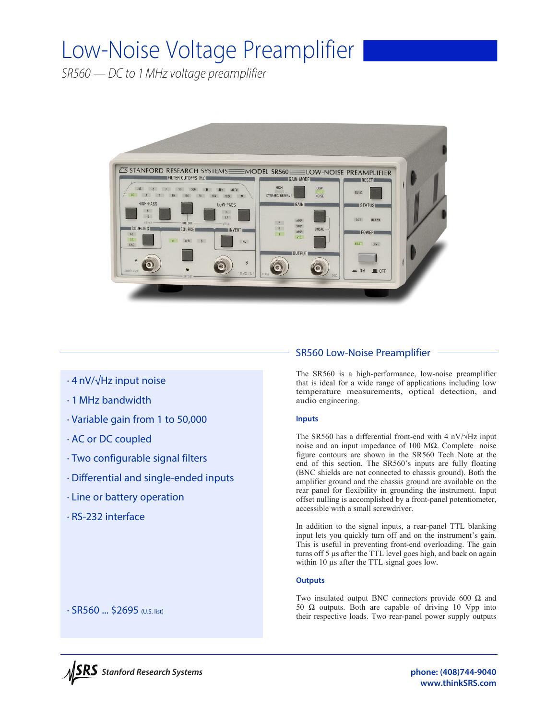# Low-Noise Voltage Preamplifier

*SR560 — DC to 1MHz voltage preamplifier*



- · 4 nV/√Hz input noise
- · 1 MHz bandwidth
- · Variable gain from 1 to 50,000
- · AC or DC coupled
- · Two configurable signal filters
- · Differential and single-ended inputs
- · Line or battery operation
- · RS-232 interface

# SR560 Low-Noise Preamplifier

The SR560 is a high-performance, low-noise preamplifier that is ideal for a wide range of applications including low temperature measurements, optical detection, and audio engineering.

# **Inputs**

The SR560 has a differential front-end with 4 nV/√Hz input noise and an input impedance of 100 MΩ. Complete noise figure contours are shown in the SR560 Tech Note at the end of this section. The SR560's inputs are fully floating (BNC shields are not connected to chassis ground). Both the amplifier ground and the chassis ground are available on the rear panel for flexibility in grounding the instrument. Input offset nulling is accomplished by a front-panel potentiometer, accessible with a small screwdriver.

In addition to the signal inputs, a rear-panel TTL blanking input lets you quickly turn off and on the instrument's gain. This is useful in preventing front-end overloading. The gain turns off 5 µs after the TTL level goes high, and back on again within 10  $\mu$ s after the TTL signal goes low.

# **Outputs**

Two insulated output BNC connectors provide 600 Ω and 50  $Ω$  outputs. Both are capable of driving 10 Vpp into their respective loads. Two rear-panel power supply outputs



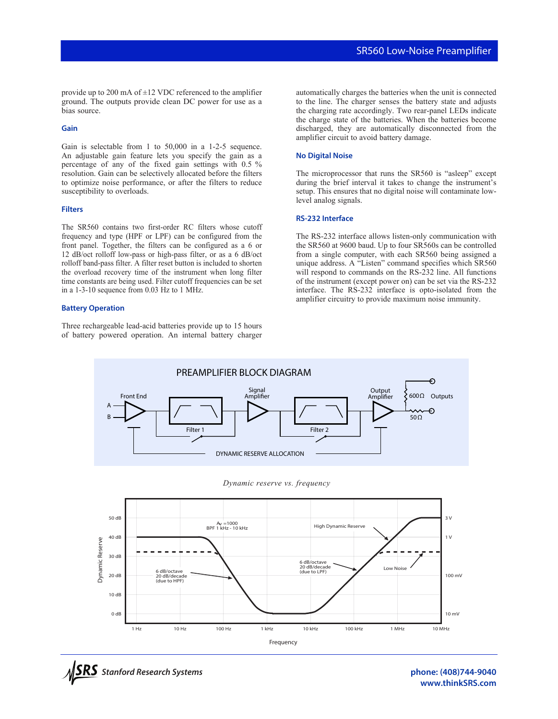provide up to 200 mA of  $\pm$ 12 VDC referenced to the amplifier ground. The outputs provide clean DC power for use as a bias source.

# **Gain**

Gain is selectable from 1 to 50,000 in a 1-2-5 sequence. An adjustable gain feature lets you specify the gain as a percentage of any of the fixed gain settings with 0.5 % resolution. Gain can be selectively allocated before the filters to optimize noise performance, or after the filters to reduce susceptibility to overloads.

# **Filters**

The SR560 contains two first-order RC filters whose cutoff frequency and type (HPF or LPF) can be configured from the front panel. Together, the filters can be configured as a 6 or 12 dB/oct rolloff low-pass or high-pass filter, or as a 6 dB/oct rolloff band-pass filter. A filter reset button is included to shorten the overload recovery time of the instrument when long filter time constants are being used. Filter cutoff frequencies can be set in a 1-3-10 sequence from 0.03 Hz to 1 MHz.

#### **Battery Operation**

Three rechargeable lead-acid batteries provide up to 15 hours of battery powered operation. An internal battery charger automatically charges the batteries when the unit is connected to the line. The charger senses the battery state and adjusts the charging rate accordingly. Two rear-panel LEDs indicate the charge state of the batteries. When the batteries become discharged, they are automatically disconnected from the amplifier circuit to avoid battery damage.

# **No Digital Noise**

The microprocessor that runs the SR560 is "asleep" except during the brief interval it takes to change the instrument's setup. This ensures that no digital noise will contaminate lowlevel analog signals.

#### **RS-232 Interface**

The RS-232 interface allows listen-only communication with the SR560 at 9600 baud. Up to four SR560s can be controlled from a single computer, with each SR560 being assigned a unique address. A "Listen" command specifies which SR560 will respond to commands on the RS-232 line. All functions of the instrument (except power on) can be set via the RS-232 interface. The RS-232 interface is opto-isolated from the amplifier circuitry to provide maximum noise immunity.









**phone: (408)744-9040 www.thinkSRS.com**